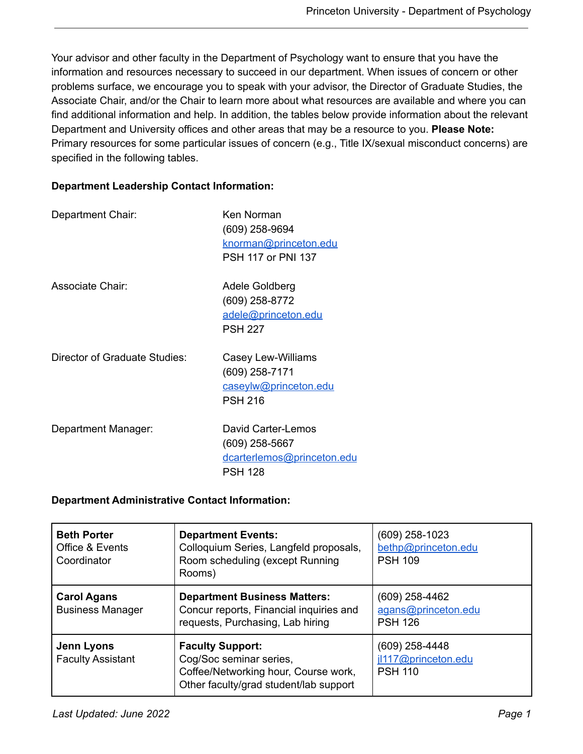Your advisor and other faculty in the Department of Psychology want to ensure that you have the information and resources necessary to succeed in our department. When issues of concern or other problems surface, we encourage you to speak with your advisor, the Director of Graduate Studies, the Associate Chair, and/or the Chair to learn more about what resources are available and where you can find additional information and help. In addition, the tables below provide information about the relevant Department and University offices and other areas that may be a resource to you. **Please Note:** Primary resources for some particular issues of concern (e.g., Title IX/sexual misconduct concerns) are specified in the following tables.

## **Department Leadership Contact Information:**

| Department Chair:             | Ken Norman<br>(609) 258-9694<br>knorman@princeton.edu<br><b>PSH 117 or PNI 137</b>     |
|-------------------------------|----------------------------------------------------------------------------------------|
| Associate Chair:              | Adele Goldberg<br>(609) 258-8772<br>adele@princeton.edu<br><b>PSH 227</b>              |
| Director of Graduate Studies: | Casey Lew-Williams<br>(609) 258-7171<br>caseylw@princeton.edu<br><b>PSH 216</b>        |
| Department Manager:           | David Carter-Lemos<br>$(609)$ 258-5667<br>dcarterlemos@princeton.edu<br><b>PSH 128</b> |

## **Department Administrative Contact Information:**

| <b>Beth Porter</b><br>Office & Events<br>Coordinator | <b>Department Events:</b><br>Colloquium Series, Langfeld proposals,<br>Room scheduling (except Running<br>Rooms)                     | $(609)$ 258-1023<br>bethp@princeton.edu<br><b>PSH 109</b> |
|------------------------------------------------------|--------------------------------------------------------------------------------------------------------------------------------------|-----------------------------------------------------------|
| <b>Carol Agans</b><br><b>Business Manager</b>        | <b>Department Business Matters:</b><br>Concur reports, Financial inquiries and<br>requests, Purchasing, Lab hiring                   | (609) 258-4462<br>agans@princeton.edu<br><b>PSH 126</b>   |
| Jenn Lyons<br><b>Faculty Assistant</b>               | <b>Faculty Support:</b><br>Cog/Soc seminar series,<br>Coffee/Networking hour, Course work,<br>Other faculty/grad student/lab support | (609) 258-4448<br>jl117@princeton.edu<br><b>PSH 110</b>   |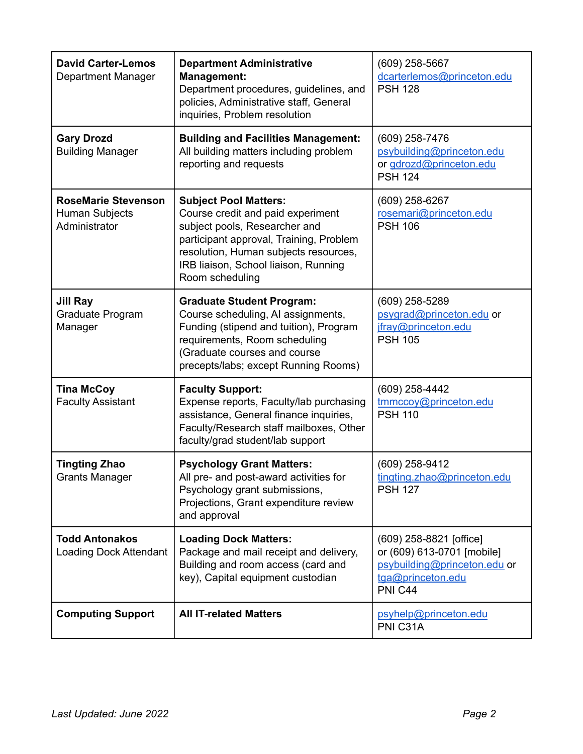| <b>David Carter-Lemos</b><br>Department Manager                      | <b>Department Administrative</b><br><b>Management:</b><br>Department procedures, guidelines, and<br>policies, Administrative staff, General<br>inquiries, Problem resolution                                                                      | $(609)$ 258-5667<br>dcarterlemos@princeton.edu<br><b>PSH 128</b>                                                      |
|----------------------------------------------------------------------|---------------------------------------------------------------------------------------------------------------------------------------------------------------------------------------------------------------------------------------------------|-----------------------------------------------------------------------------------------------------------------------|
| <b>Gary Drozd</b><br><b>Building Manager</b>                         | <b>Building and Facilities Management:</b><br>All building matters including problem<br>reporting and requests                                                                                                                                    | (609) 258-7476<br>psybuilding@princeton.edu<br>or gdrozd@princeton.edu<br><b>PSH 124</b>                              |
| <b>RoseMarie Stevenson</b><br><b>Human Subjects</b><br>Administrator | <b>Subject Pool Matters:</b><br>Course credit and paid experiment<br>subject pools, Researcher and<br>participant approval, Training, Problem<br>resolution, Human subjects resources,<br>IRB liaison, School liaison, Running<br>Room scheduling | (609) 258-6267<br>rosemari@princeton.edu<br><b>PSH 106</b>                                                            |
| <b>Jill Ray</b><br>Graduate Program<br>Manager                       | <b>Graduate Student Program:</b><br>Course scheduling, AI assignments,<br>Funding (stipend and tuition), Program<br>requirements, Room scheduling<br>(Graduate courses and course<br>precepts/labs; except Running Rooms)                         | (609) 258-5289<br>psygrad@princeton.edu or<br>jfray@princeton.edu<br><b>PSH 105</b>                                   |
| <b>Tina McCoy</b><br><b>Faculty Assistant</b>                        | <b>Faculty Support:</b><br>Expense reports, Faculty/lab purchasing<br>assistance, General finance inquiries,<br>Faculty/Research staff mailboxes, Other<br>faculty/grad student/lab support                                                       | (609) 258-4442<br>tmmccoy@princeton.edu<br><b>PSH 110</b>                                                             |
| <b>Tingting Zhao</b><br><b>Grants Manager</b>                        | (609) 258-9412<br><b>Psychology Grant Matters:</b><br>All pre- and post-award activities for<br>tingting.zhao@princeton.edu<br>Psychology grant submissions,<br><b>PSH 127</b><br>Projections, Grant expenditure review<br>and approval           |                                                                                                                       |
| <b>Todd Antonakos</b><br>Loading Dock Attendant                      | <b>Loading Dock Matters:</b><br>Package and mail receipt and delivery,<br>Building and room access (card and<br>key), Capital equipment custodian                                                                                                 | (609) 258-8821 [office]<br>or (609) 613-0701 [mobile]<br>psybuilding@princeton.edu or<br>tga@princeton.edu<br>PNI C44 |
| <b>Computing Support</b>                                             | <b>All IT-related Matters</b>                                                                                                                                                                                                                     | psyhelp@princeton.edu<br>PNI C31A                                                                                     |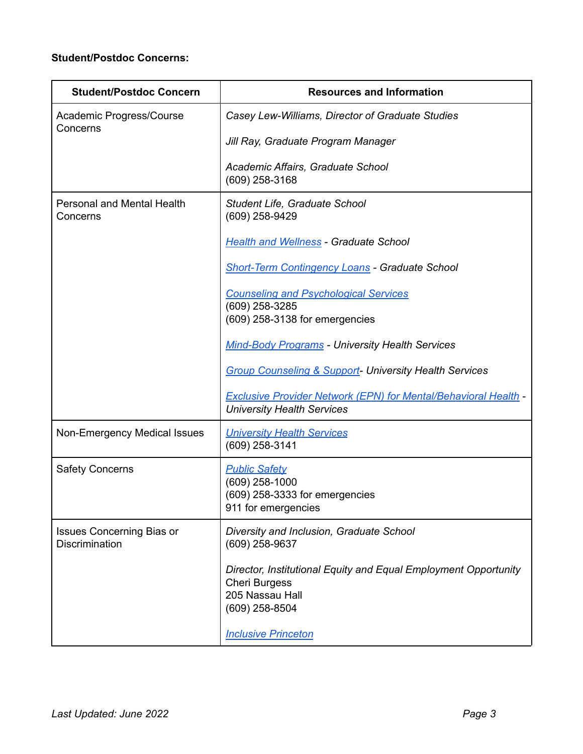## **Student/Postdoc Concerns:**

| <b>Student/Postdoc Concern</b>                            | <b>Resources and Information</b>                                                                                             |
|-----------------------------------------------------------|------------------------------------------------------------------------------------------------------------------------------|
| Academic Progress/Course<br>Concerns                      | Casey Lew-Williams, Director of Graduate Studies                                                                             |
|                                                           | Jill Ray, Graduate Program Manager                                                                                           |
|                                                           | Academic Affairs, Graduate School<br>(609) 258-3168                                                                          |
| <b>Personal and Mental Health</b><br>Concerns             | Student Life, Graduate School<br>(609) 258-9429                                                                              |
|                                                           | <b>Health and Wellness - Graduate School</b>                                                                                 |
|                                                           | <b>Short-Term Contingency Loans - Graduate School</b>                                                                        |
|                                                           | <b>Counseling and Psychological Services</b><br>(609) 258-3285<br>(609) 258-3138 for emergencies                             |
|                                                           | <b>Mind-Body Programs - University Health Services</b>                                                                       |
|                                                           | <b>Group Counseling &amp; Support- University Health Services</b>                                                            |
|                                                           | <b>Exclusive Provider Network (EPN) for Mental/Behavioral Health -</b><br><b>University Health Services</b>                  |
| Non-Emergency Medical Issues                              | <b>University Health Services</b><br>(609) 258-3141                                                                          |
| <b>Safety Concerns</b>                                    | <b>Public Safety</b><br>(609) 258-1000<br>(609) 258-3333 for emergencies<br>911 for emergencies                              |
| <b>Issues Concerning Bias or</b><br><b>Discrimination</b> | Diversity and Inclusion, Graduate School<br>(609) 258-9637                                                                   |
|                                                           | Director, Institutional Equity and Equal Employment Opportunity<br><b>Cheri Burgess</b><br>205 Nassau Hall<br>(609) 258-8504 |
|                                                           | <b>Inclusive Princeton</b>                                                                                                   |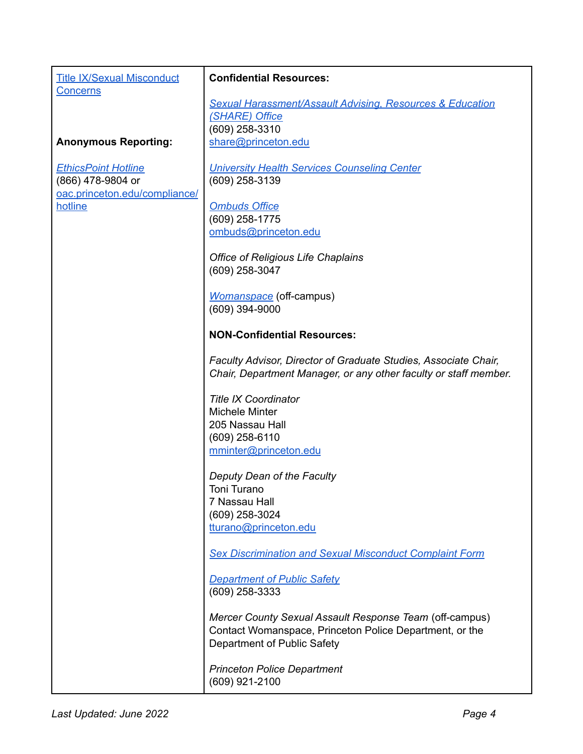| <b>Title IX/Sexual Misconduct</b><br><b>Concerns</b> | <b>Confidential Resources:</b>                                                                                                                    |  |
|------------------------------------------------------|---------------------------------------------------------------------------------------------------------------------------------------------------|--|
|                                                      | <b>Sexual Harassment/Assault Advising, Resources &amp; Education</b>                                                                              |  |
|                                                      | (SHARE) Office                                                                                                                                    |  |
|                                                      | (609) 258-3310                                                                                                                                    |  |
| <b>Anonymous Reporting:</b>                          | share@princeton.edu                                                                                                                               |  |
| <b>EthicsPoint Hotline</b>                           | <b>University Health Services Counseling Center</b>                                                                                               |  |
| (866) 478-9804 or<br>oac.princeton.edu/compliance/   | (609) 258-3139                                                                                                                                    |  |
| hotline                                              | <b>Ombuds Office</b>                                                                                                                              |  |
|                                                      | (609) 258-1775                                                                                                                                    |  |
|                                                      | ombuds@princeton.edu                                                                                                                              |  |
|                                                      | <b>Office of Religious Life Chaplains</b><br>(609) 258-3047                                                                                       |  |
|                                                      |                                                                                                                                                   |  |
|                                                      | <b>Womanspace</b> (off-campus)                                                                                                                    |  |
|                                                      | (609) 394-9000                                                                                                                                    |  |
|                                                      | <b>NON-Confidential Resources:</b>                                                                                                                |  |
|                                                      | Faculty Advisor, Director of Graduate Studies, Associate Chair,<br>Chair, Department Manager, or any other faculty or staff member.               |  |
|                                                      | <b>Title IX Coordinator</b>                                                                                                                       |  |
|                                                      | <b>Michele Minter</b>                                                                                                                             |  |
|                                                      | 205 Nassau Hall                                                                                                                                   |  |
|                                                      | $(609)$ 258-6110                                                                                                                                  |  |
|                                                      | mminter@princeton.edu                                                                                                                             |  |
|                                                      | Deputy Dean of the Faculty                                                                                                                        |  |
|                                                      | Toni Turano                                                                                                                                       |  |
|                                                      | 7 Nassau Hall<br>(609) 258-3024                                                                                                                   |  |
|                                                      | tturano@princeton.edu                                                                                                                             |  |
|                                                      |                                                                                                                                                   |  |
|                                                      | <b>Sex Discrimination and Sexual Misconduct Complaint Form</b>                                                                                    |  |
|                                                      | <b>Department of Public Safety</b><br>(609) 258-3333                                                                                              |  |
|                                                      | Mercer County Sexual Assault Response Team (off-campus)<br>Contact Womanspace, Princeton Police Department, or the<br>Department of Public Safety |  |
|                                                      | <b>Princeton Police Department</b><br>(609) 921-2100                                                                                              |  |